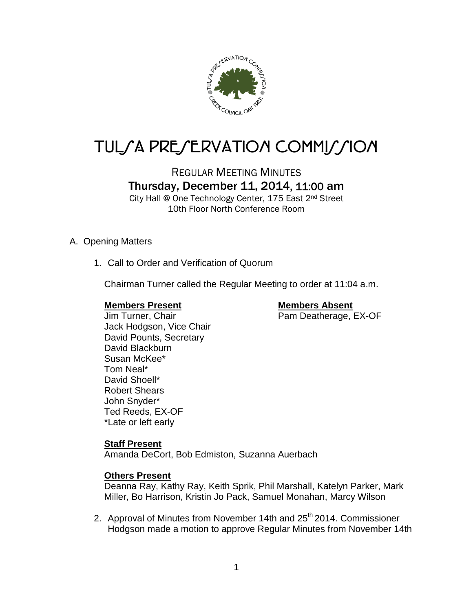

# TUL/A PRE/ERVATION COMMI//ION

REGULAR MEETING MINUTES

Thursday, December 11, 2014, 11:00 am

City Hall @ One Technology Center, 175 East 2nd Street 10th Floor North Conference Room

#### A. Opening Matters

1. Call to Order and Verification of Quorum

Chairman Turner called the Regular Meeting to order at 11:04 a.m.

**Members Present Members Absent** Jim Turner, Chair **Pam Deatherage, EX-OF** 

Jack Hodgson, Vice Chair David Pounts, Secretary David Blackburn Susan McKee\* Tom Neal\* David Shoell\* Robert Shears John Snyder\* Ted Reeds, EX-OF \*Late or left early

#### **Staff Present**

Amanda DeCort, Bob Edmiston, Suzanna Auerbach

#### **Others Present**

Deanna Ray, Kathy Ray, Keith Sprik, Phil Marshall, Katelyn Parker, Mark Miller, Bo Harrison, Kristin Jo Pack, Samuel Monahan, Marcy Wilson

2. Approval of Minutes from November 14th and 25<sup>th</sup> 2014. Commissioner Hodgson made a motion to approve Regular Minutes from November 14th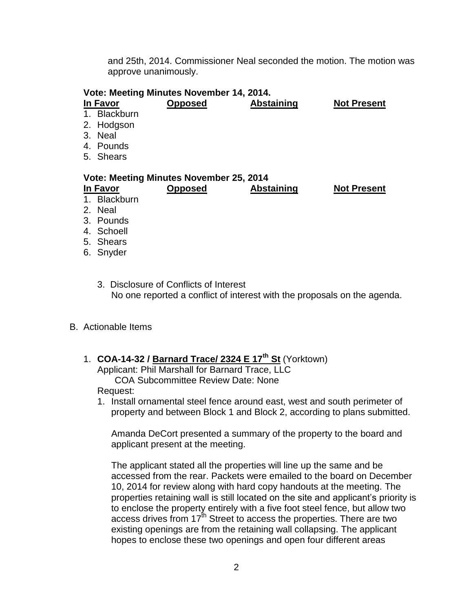and 25th, 2014. Commissioner Neal seconded the motion. The motion was approve unanimously.

| Vote: Meeting Minutes November 14, 2014. |              |                |                   |                    |  |
|------------------------------------------|--------------|----------------|-------------------|--------------------|--|
|                                          | In Favor     | <b>Opposed</b> | <b>Abstaining</b> | <b>Not Present</b> |  |
|                                          | 1. Blackburn |                |                   |                    |  |
|                                          | 2. Hodgson   |                |                   |                    |  |
|                                          | 3. Neal      |                |                   |                    |  |
|                                          | 4. Pounds    |                |                   |                    |  |
|                                          | 5. Shears    |                |                   |                    |  |
| Vote: Meeting Minutes November 25, 2014  |              |                |                   |                    |  |
|                                          |              |                |                   |                    |  |
|                                          | In Favor     | <b>Opposed</b> | <b>Abstaining</b> | <b>Not Present</b> |  |
|                                          | 1. Blackburn |                |                   |                    |  |
|                                          | 2. Neal      |                |                   |                    |  |
|                                          | 3. Pounds    |                |                   |                    |  |
|                                          | 4. Schoell   |                |                   |                    |  |

6. Snyder

3. Disclosure of Conflicts of Interest No one reported a conflict of interest with the proposals on the agenda.

#### B. Actionable Items

- 1. **COA-14-32 / Barnard Trace/ 2324 E 17th St** (Yorktown) Applicant: Phil Marshall for Barnard Trace, LLC COA Subcommittee Review Date: None Request:
	- 1. Install ornamental steel fence around east, west and south perimeter of property and between Block 1 and Block 2, according to plans submitted.

Amanda DeCort presented a summary of the property to the board and applicant present at the meeting.

The applicant stated all the properties will line up the same and be accessed from the rear. Packets were emailed to the board on December 10, 2014 for review along with hard copy handouts at the meeting. The properties retaining wall is still located on the site and applicant's priority is to enclose the property entirely with a five foot steel fence, but allow two access drives from 17<sup>th</sup> Street to access the properties. There are two existing openings are from the retaining wall collapsing. The applicant hopes to enclose these two openings and open four different areas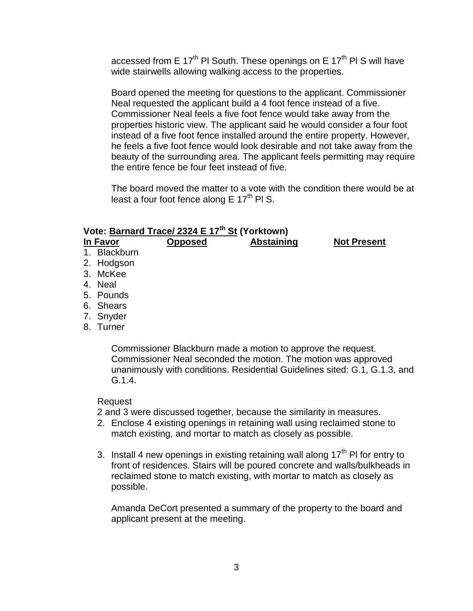accessed from E  $17<sup>th</sup>$  PI South. These openings on E  $17<sup>th</sup>$  PI S will have wide stairwells allowing walking access to the properties.

Board opened the meeting for questions to the applicant. Commissioner Neal requested the applicant build a 4 foot fence instead of a five. Commissioner Neal feels a five foot fence would take away from the properties historic view. The applicant said he would consider a four foot instead of a five foot fence installed around the entire property. However, he feels a five foot fence would look desirable and not take away from the beauty of the surrounding area. The applicant feels permitting may require the entire fence be four feet instead of five.

The board moved the matter to a vote with the condition there would be at least a four foot fence along  $E 17<sup>th</sup>$  PI S.

# **Vote: Barnard Trace/ 2324 E 17th St (Yorktown)**

### **In Favor Opposed Abstaining Not Present**

- 1. Blackburn
- 2. Hodgson
- 3. McKee
- 4. Neal
- 5. Pounds
- 6. Shears
- 7. Snyder
- 8. Turner

Commissioner Blackburn made a motion to approve the request. Commissioner Neal seconded the motion. The motion was approved unanimously with conditions. Residential Guidelines sited: G.1, G.1.3, and G.1.4.

#### Request

2 and 3 were discussed together, because the similarity in measures.

- 2. Enclose 4 existing openings in retaining wall using reclaimed stone to match existing, and mortar to match as closely as possible.
- 3. Install 4 new openings in existing retaining wall along  $17<sup>th</sup>$  PI for entry to front of residences. Stairs will be poured concrete and walls/bulkheads in reclaimed stone to match existing, with mortar to match as closely as possible.

Amanda DeCort presented a summary of the property to the board and applicant present at the meeting.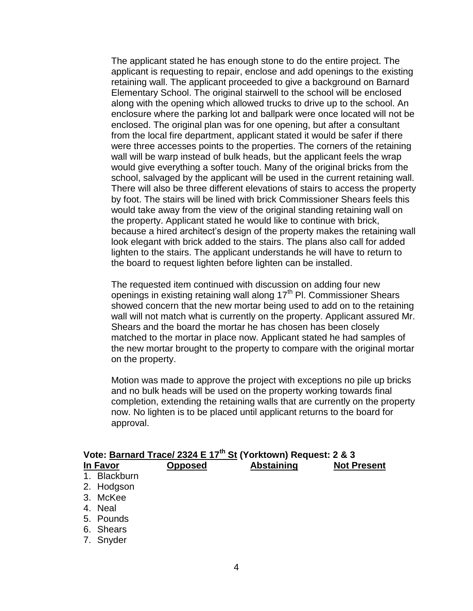The applicant stated he has enough stone to do the entire project. The applicant is requesting to repair, enclose and add openings to the existing retaining wall. The applicant proceeded to give a background on Barnard Elementary School. The original stairwell to the school will be enclosed along with the opening which allowed trucks to drive up to the school. An enclosure where the parking lot and ballpark were once located will not be enclosed. The original plan was for one opening, but after a consultant from the local fire department, applicant stated it would be safer if there were three accesses points to the properties. The corners of the retaining wall will be warp instead of bulk heads, but the applicant feels the wrap would give everything a softer touch. Many of the original bricks from the school, salvaged by the applicant will be used in the current retaining wall. There will also be three different elevations of stairs to access the property by foot. The stairs will be lined with brick Commissioner Shears feels this would take away from the view of the original standing retaining wall on the property. Applicant stated he would like to continue with brick, because a hired architect's design of the property makes the retaining wall look elegant with brick added to the stairs. The plans also call for added lighten to the stairs. The applicant understands he will have to return to the board to request lighten before lighten can be installed.

The requested item continued with discussion on adding four new openings in existing retaining wall along  $17<sup>th</sup>$  Pl. Commissioner Shears showed concern that the new mortar being used to add on to the retaining wall will not match what is currently on the property. Applicant assured Mr. Shears and the board the mortar he has chosen has been closely matched to the mortar in place now. Applicant stated he had samples of the new mortar brought to the property to compare with the original mortar on the property.

Motion was made to approve the project with exceptions no pile up bricks and no bulk heads will be used on the property working towards final completion, extending the retaining walls that are currently on the property now. No lighten is to be placed until applicant returns to the board for approval.

| Vote: Barnard Trace/ 2324 E 17 <sup>th</sup> St (Yorktown) Request: 2 & 3 |                  |                |                   |                    |
|---------------------------------------------------------------------------|------------------|----------------|-------------------|--------------------|
| In Favor                                                                  |                  | <b>Opposed</b> | <b>Abstaining</b> | <b>Not Present</b> |
| 1.                                                                        | <b>Blackburn</b> |                |                   |                    |
|                                                                           | 2. Hodgson       |                |                   |                    |
| 3.                                                                        | McKee            |                |                   |                    |
|                                                                           | 4. Neal          |                |                   |                    |
|                                                                           | 5. Pounds        |                |                   |                    |
|                                                                           | 6. Shears        |                |                   |                    |
|                                                                           | 7. Snyder        |                |                   |                    |
|                                                                           |                  |                |                   |                    |

#### 4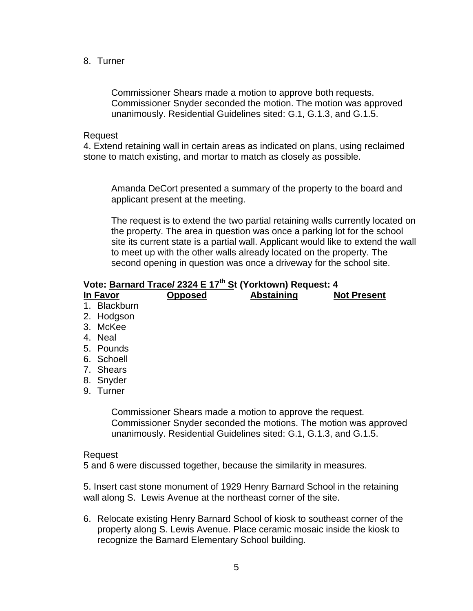8. Turner

Commissioner Shears made a motion to approve both requests. Commissioner Snyder seconded the motion. The motion was approved unanimously. Residential Guidelines sited: G.1, G.1.3, and G.1.5.

Request

4. Extend retaining wall in certain areas as indicated on plans, using reclaimed stone to match existing, and mortar to match as closely as possible.

Amanda DeCort presented a summary of the property to the board and applicant present at the meeting.

The request is to extend the two partial retaining walls currently located on the property. The area in question was once a parking lot for the school site its current state is a partial wall. Applicant would like to extend the wall to meet up with the other walls already located on the property. The second opening in question was once a driveway for the school site.

### **Vote: Barnard Trace/ 2324 E 17th St (Yorktown) Request: 4**

| In Favor     | Opposed | <b>Abstaining</b>                                         | <b>Not Present</b>                                                |
|--------------|---------|-----------------------------------------------------------|-------------------------------------------------------------------|
| 1. Blackburn |         |                                                           |                                                                   |
| 2. Hodgson   |         |                                                           |                                                                   |
| 3. McKee     |         |                                                           |                                                                   |
| 4. Neal      |         |                                                           |                                                                   |
| 5. Pounds    |         |                                                           |                                                                   |
| 6. Schoell   |         |                                                           |                                                                   |
| 7. Shears    |         |                                                           |                                                                   |
| 8. Snyder    |         |                                                           |                                                                   |
| 9. Turner    |         |                                                           |                                                                   |
|              |         | Commissioner Shears made a motion to approve the request. | Commissioner Snyder seconded the motions. The motion was approved |

Request

5 and 6 were discussed together, because the similarity in measures.

5. Insert cast stone monument of 1929 Henry Barnard School in the retaining wall along S. Lewis Avenue at the northeast corner of the site.

unanimously. Residential Guidelines sited: G.1, G.1.3, and G.1.5.

6. Relocate existing Henry Barnard School of kiosk to southeast corner of the property along S. Lewis Avenue. Place ceramic mosaic inside the kiosk to recognize the Barnard Elementary School building.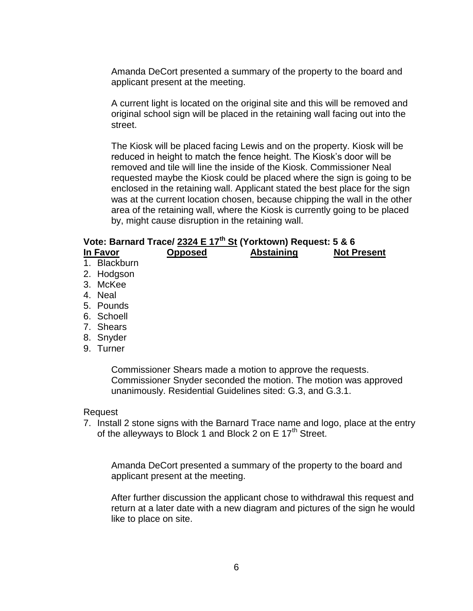Amanda DeCort presented a summary of the property to the board and applicant present at the meeting.

A current light is located on the original site and this will be removed and original school sign will be placed in the retaining wall facing out into the street.

The Kiosk will be placed facing Lewis and on the property. Kiosk will be reduced in height to match the fence height. The Kiosk's door will be removed and tile will line the inside of the Kiosk. Commissioner Neal requested maybe the Kiosk could be placed where the sign is going to be enclosed in the retaining wall. Applicant stated the best place for the sign was at the current location chosen, because chipping the wall in the other area of the retaining wall, where the Kiosk is currently going to be placed by, might cause disruption in the retaining wall.

### **Vote: Barnard Trace/ 2324 E 17th St (Yorktown) Request: 5 & 6**

- **In Favor Opposed Abstaining Not Present**
- 1. Blackburn
- 2. Hodgson
- 3. McKee
- 4. Neal
- 5. Pounds
- 6. Schoell
- 7. Shears
- 8. Snyder
- 9. Turner

Commissioner Shears made a motion to approve the requests. Commissioner Snyder seconded the motion. The motion was approved unanimously. Residential Guidelines sited: G.3, and G.3.1.

#### Request

7. Install 2 stone signs with the Barnard Trace name and logo, place at the entry of the alleyways to Block 1 and Block 2 on E  $17<sup>th</sup>$  Street.

Amanda DeCort presented a summary of the property to the board and applicant present at the meeting.

After further discussion the applicant chose to withdrawal this request and return at a later date with a new diagram and pictures of the sign he would like to place on site.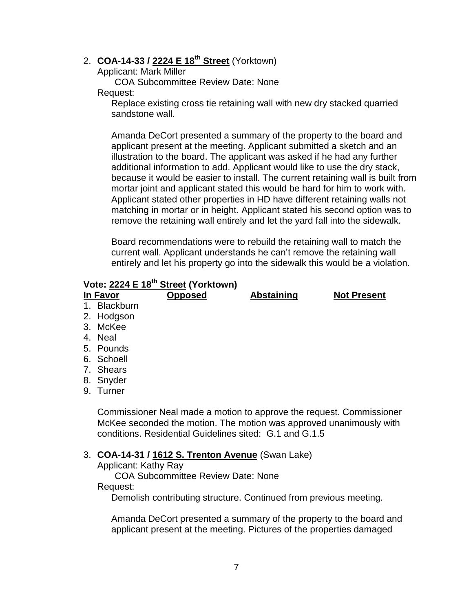# 2. **COA-14-33 / 2224 E 18th Street** (Yorktown)

Applicant: Mark Miller

COA Subcommittee Review Date: None Request:

Replace existing cross tie retaining wall with new dry stacked quarried sandstone wall.

Amanda DeCort presented a summary of the property to the board and applicant present at the meeting. Applicant submitted a sketch and an illustration to the board. The applicant was asked if he had any further additional information to add. Applicant would like to use the dry stack, because it would be easier to install. The current retaining wall is built from mortar joint and applicant stated this would be hard for him to work with. Applicant stated other properties in HD have different retaining walls not matching in mortar or in height. Applicant stated his second option was to remove the retaining wall entirely and let the yard fall into the sidewalk.

Board recommendations were to rebuild the retaining wall to match the current wall. Applicant understands he can't remove the retaining wall entirely and let his property go into the sidewalk this would be a violation.

### **Vote: 2224 E 18th Street (Yorktown)**

| In Favor     | <b>Opposed</b> | <b>Abstaining</b> | <b>Not Present</b> |
|--------------|----------------|-------------------|--------------------|
| 1. Blackburn |                |                   |                    |
| 2. Hodgson   |                |                   |                    |
| 3. McKee     |                |                   |                    |
| 4. Neal      |                |                   |                    |
| 5. Pounds    |                |                   |                    |
| 6. Schoell   |                |                   |                    |
| 7. Shears    |                |                   |                    |
| 8. Snyder    |                |                   |                    |
| 9. Turner    |                |                   |                    |
|              |                |                   |                    |
|              |                |                   |                    |

Commissioner Neal made a motion to approve the request. Commissioner McKee seconded the motion. The motion was approved unanimously with conditions. Residential Guidelines sited: G.1 and G.1.5

#### 3. **COA-14-31 / 1612 S. Trenton Avenue** (Swan Lake)

Applicant: Kathy Ray

COA Subcommittee Review Date: None

#### Request:

Demolish contributing structure. Continued from previous meeting.

Amanda DeCort presented a summary of the property to the board and applicant present at the meeting. Pictures of the properties damaged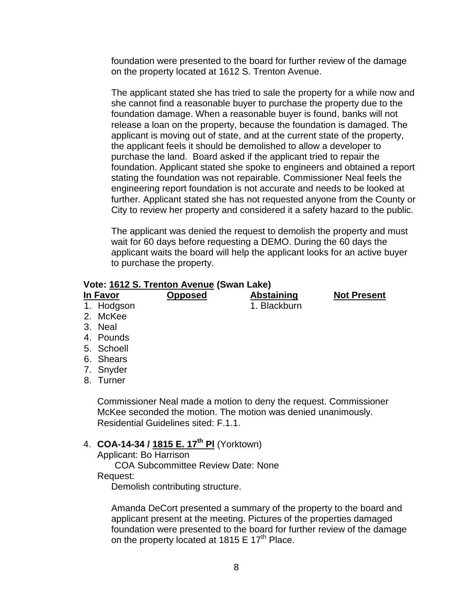foundation were presented to the board for further review of the damage on the property located at 1612 S. Trenton Avenue.

The applicant stated she has tried to sale the property for a while now and she cannot find a reasonable buyer to purchase the property due to the foundation damage. When a reasonable buyer is found, banks will not release a loan on the property, because the foundation is damaged. The applicant is moving out of state, and at the current state of the property, the applicant feels it should be demolished to allow a developer to purchase the land. Board asked if the applicant tried to repair the foundation. Applicant stated she spoke to engineers and obtained a report stating the foundation was not repairable. Commissioner Neal feels the engineering report foundation is not accurate and needs to be looked at further. Applicant stated she has not requested anyone from the County or City to review her property and considered it a safety hazard to the public.

The applicant was denied the request to demolish the property and must wait for 60 days before requesting a DEMO. During the 60 days the applicant waits the board will help the applicant looks for an active buyer to purchase the property.

#### **Vote: 1612 S. Trenton Avenue (Swan Lake)**

| Vote: 1612 S. Trenton Avenue (Swan Lake) |                |              |                    |  |
|------------------------------------------|----------------|--------------|--------------------|--|
| <b>In Favor</b>                          | <b>Opposed</b> | Abstaining   | <b>Not Present</b> |  |
| 1. Hodgson                               |                | 1. Blackburn |                    |  |
| 2. McKee                                 |                |              |                    |  |
|                                          |                |              |                    |  |

- 3. Neal
- 4. Pounds
- 5. Schoell
- 6. Shears
- 7. Snyder
- 8. Turner

Commissioner Neal made a motion to deny the request. Commissioner McKee seconded the motion. The motion was denied unanimously. Residential Guidelines sited: F.1.1.

# 4. **COA-14-34 / 1815 E. 17th Pl** (Yorktown)

Applicant: Bo Harrison

COA Subcommittee Review Date: None Request:

Demolish contributing structure.

Amanda DeCort presented a summary of the property to the board and applicant present at the meeting. Pictures of the properties damaged foundation were presented to the board for further review of the damage on the property located at 1815 E 17<sup>th</sup> Place.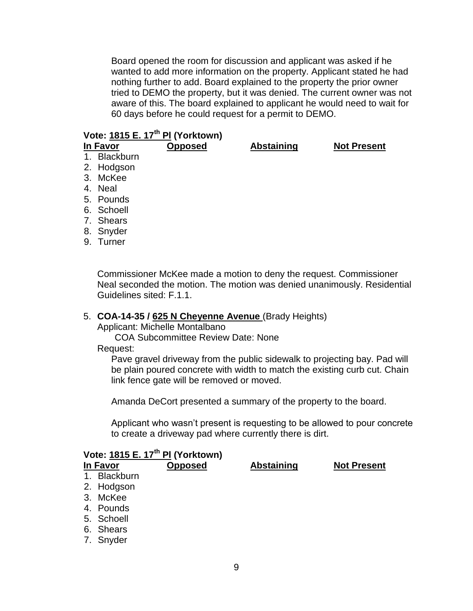Board opened the room for discussion and applicant was asked if he wanted to add more information on the property. Applicant stated he had nothing further to add. Board explained to the property the prior owner tried to DEMO the property, but it was denied. The current owner was not aware of this. The board explained to applicant he would need to wait for 60 days before he could request for a permit to DEMO.

# **Vote: 1815 E. 17th Pl (Yorktown)**

**In Favor Opposed Abstaining Not Present**

- 1. Blackburn
- 2. Hodgson
- 3. McKee
- 4. Neal
- 5. Pounds
- 6. Schoell
- 7. Shears
- 8. Snyder
- 9. Turner

Commissioner McKee made a motion to deny the request. Commissioner Neal seconded the motion. The motion was denied unanimously. Residential Guidelines sited: F.1.1.

#### 5. **COA-14-35 / 625 N Cheyenne Avenue** (Brady Heights)

Applicant: Michelle Montalbano

COA Subcommittee Review Date: None

#### Request:

Pave gravel driveway from the public sidewalk to projecting bay. Pad will be plain poured concrete with width to match the existing curb cut. Chain link fence gate will be removed or moved.

Amanda DeCort presented a summary of the property to the board.

Applicant who wasn't present is requesting to be allowed to pour concrete to create a driveway pad where currently there is dirt.

| Vote: 1815 E. 17 <sup>th</sup> PI (Yorktown) |              |  |                   |                    |
|----------------------------------------------|--------------|--|-------------------|--------------------|
| <b>Opposed</b><br>In Favor                   |              |  | <b>Abstaining</b> | <b>Not Present</b> |
|                                              | 1. Blackburn |  |                   |                    |
|                                              | 2. Hodgson   |  |                   |                    |
|                                              | 3. McKee     |  |                   |                    |
|                                              | 4. Pounds    |  |                   |                    |
|                                              | 5. Schoell   |  |                   |                    |
|                                              | 6. Shears    |  |                   |                    |
|                                              | 7. Snyder    |  |                   |                    |
|                                              |              |  |                   |                    |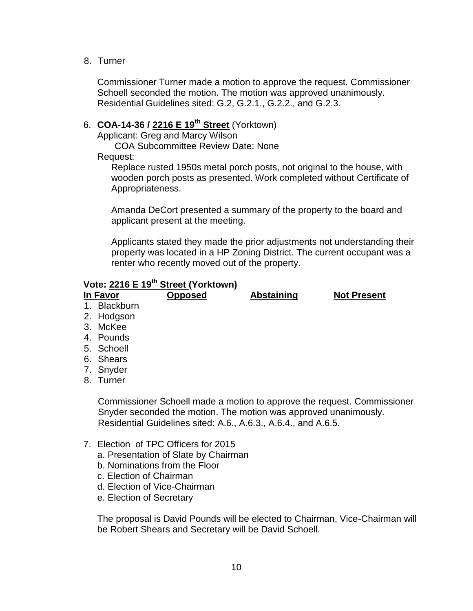8. Turner

Commissioner Turner made a motion to approve the request. Commissioner Schoell seconded the motion. The motion was approved unanimously. Residential Guidelines sited: G.2, G.2.1., G.2.2., and G.2.3.

# 6. **COA-14-36 / 2216 E 19th Street** (Yorktown)

Applicant: Greg and Marcy Wilson

COA Subcommittee Review Date: None

Request:

Replace rusted 1950s metal porch posts, not original to the house, with wooden porch posts as presented. Work completed without Certificate of Appropriateness.

Amanda DeCort presented a summary of the property to the board and applicant present at the meeting.

Applicants stated they made the prior adjustments not understanding their property was located in a HP Zoning District. The current occupant was a renter who recently moved out of the property.

# **Vote: 2216 E 19th Street (Yorktown)**

| In Favor     | <b>Opposed</b> | Abstaining | <b>Not Present</b> |
|--------------|----------------|------------|--------------------|
| 1. Blackburn |                |            |                    |
| 2. Hodgson   |                |            |                    |

- 3. McKee
- 4. Pounds
- 5. Schoell
- 6. Shears
- 7. Snyder
- 8. Turner

Commissioner Schoell made a motion to approve the request. Commissioner Snyder seconded the motion. The motion was approved unanimously. Residential Guidelines sited: A.6., A.6.3., A.6.4., and A.6.5.

- 7. Election of TPC Officers for 2015
	- a. Presentation of Slate by Chairman
	- b. Nominations from the Floor
	- c. Election of Chairman
	- d. Election of Vice-Chairman
	- e. Election of Secretary

The proposal is David Pounds will be elected to Chairman, Vice-Chairman will be Robert Shears and Secretary will be David Schoell.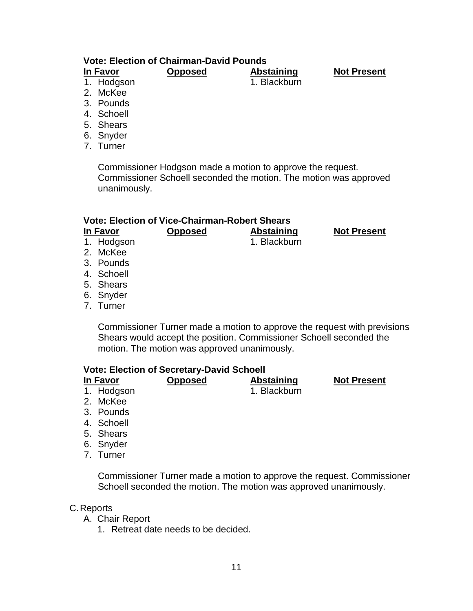# **Vote: Election of Chairman-David Pounds**

**In Favor Opposed Abstaining Not Present**

1. Hodgson 1. Blackburn

- 
- 2. McKee
- 3. Pounds
- 4. Schoell
- 5. Shears
- 6. Snyder
- 7. Turner

Commissioner Hodgson made a motion to approve the request. Commissioner Schoell seconded the motion. The motion was approved unanimously.

#### **Vote: Election of Vice-Chairman-Robert Shears**

**In Favor Opposed Abstaining Not Present**

- 1. Hodgson 1. Blackburn
- 2. McKee
- 3. Pounds
- 4. Schoell
- 5. Shears
- 6. Snyder
- 7. Turner

Commissioner Turner made a motion to approve the request with previsions Shears would accept the position. Commissioner Schoell seconded the motion. The motion was approved unanimously.

#### **Vote: Election of Secretary-David Schoell**

- **In Favor Opposed Abstaining Not Present** 1. Hodgson 1. Blackburn
- 2. McKee
- 3. Pounds
- 4. Schoell
- 5. Shears
- 6. Snyder
- 7. Turner

Commissioner Turner made a motion to approve the request. Commissioner Schoell seconded the motion. The motion was approved unanimously.

- C.Reports
	- A. Chair Report
		- 1. Retreat date needs to be decided.